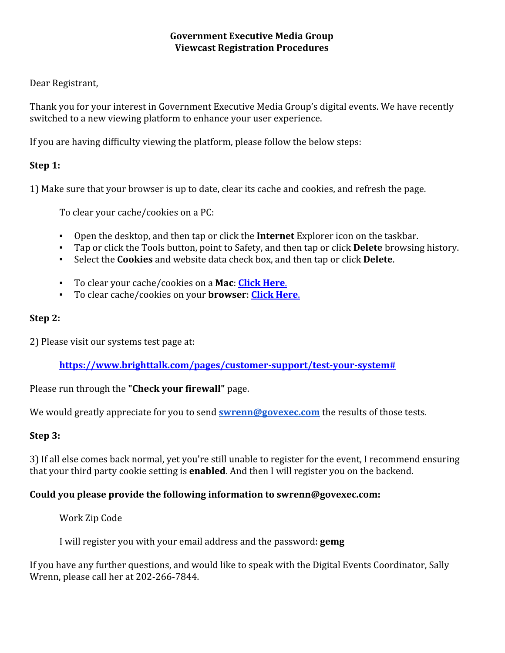## **Government Executive Media Group Viewcast Registration Procedures**

## Dear Registrant,

Thank you for your interest in Government Executive Media Group's digital events. We have recently switched to a new viewing platform to enhance your user experience.

If you are having difficulty viewing the platform, please follow the below steps:

# **Step 1:**

1) Make sure that your browser is up to date, clear its cache and cookies, and refresh the page.

To clear your cache/cookies on a PC:

- Open the desktop, and then tap or click the **Internet**Explorer icon on the taskbar.
- Tap or click the Tools button, point to Safety, and then tap or click **Delete** browsing history.
- Select the **Cookies**and website data check box, and then tap or click **Delete**.
- To clear your cache/cookies on a **Mac**: **[Click](https://kb.wisc.edu/helpdesk/page.php?id=45060) Here**.
- To clear cache/cookies on your **browser**: **Click [Here](https://kb.wisc.edu/helpdesk/page.php?id=12384)**.

## **[S](https://kb.wisc.edu/helpdesk/page.php?id=12384)tep 2:**

2) Please visit our systems test page at:

**[https://www.brighttalk.com/pages/customersupport/testyoursystem#](https://www.brighttalk.com/pages/customer-support/test-your-system)**

Please run through the **"Check your firewall"**page.

We would greatly appreciate for you to send **[swrenn@govexec.com](mailto:swrenn@govexec.com)** the results of those tests.

# **Step 3:**

3) If all else comes back normal, yet you're still unable to register for the event, I recommend ensuring that your third party cookie setting is **enabled**. And then I will register you on the backend.

# **Could you please provide the following information to swrenn@govexec.com:**

Work Zip Code

I will register you with your email address and the password: **gemg**

If you have any further questions, and would like to speak with the Digital Events Coordinator, Sally Wrenn, please call her at 202-266-7844.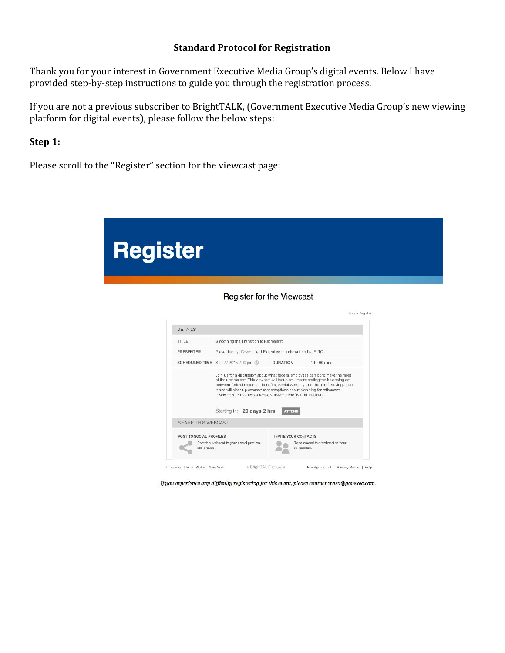#### **Standard Protocol for Registration**

Thank you for your interest in Government Executive Media Group's digital events. Below I have provided step-by-step instructions to guide you through the registration process.

If you are not a previous subscriber to BrightTALK, (Government Executive Media Group's new viewing platform for digital events), please follow the below steps:

**Step 1:**

Please scroll to the "Register" section for the viewcast page:



| TITLE                     | Smoothing the Transition to Retirement                                                                                                                                                                                           |                 |                                                                                   |
|---------------------------|----------------------------------------------------------------------------------------------------------------------------------------------------------------------------------------------------------------------------------|-----------------|-----------------------------------------------------------------------------------|
| <b>PRESENTER</b>          | Presented by: Government Executive   Underwritten by: FLTC                                                                                                                                                                       |                 |                                                                                   |
|                           | SCHEDULED TIME Sep 22 2015 2:00 pm (1)                                                                                                                                                                                           | <b>DURATION</b> | 1 <sub>hr</sub> 00 mins                                                           |
|                           | of their retirement. This viewcast will focus on understanding the balancing act<br>It also will clear up common misperceptions about planning for retirement<br>involving such issues as taxes, survivor benefits and Medicare. |                 | between federal retirement benefits, Social Security and the Thrift Savings plan. |
|                           | Starting in: 20 days 2 hrs                                                                                                                                                                                                       | <b>ATTEND</b>   |                                                                                   |
| <b>SHARE THIS WEBCAST</b> |                                                                                                                                                                                                                                  |                 |                                                                                   |

If you experience any difficulty registering for this event, please contact crasa@govexec.com.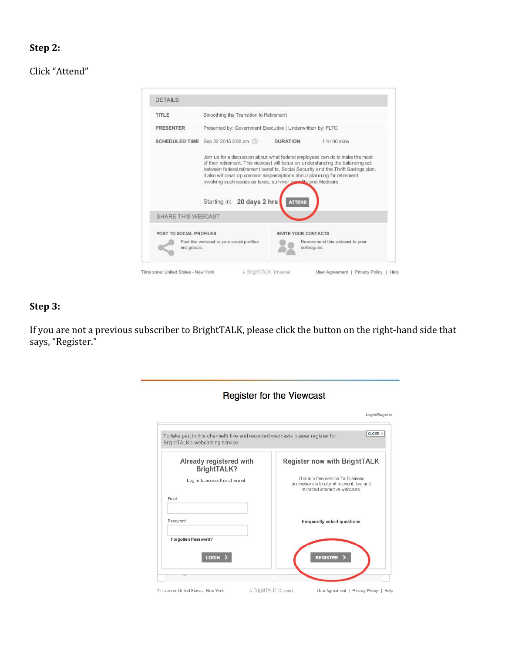## **Step 2:**

Click "Attend"



## **Step 3:**

If you are not a previous subscriber to BrightTALK, please click the button on the right-hand side that says, "Register."

| To take part in this channel's live and recorded webcasts please register for | CLOSE X                                                                                                             |  |
|-------------------------------------------------------------------------------|---------------------------------------------------------------------------------------------------------------------|--|
| BrightTALK's webcasting service.                                              |                                                                                                                     |  |
| Already registered with<br>BrightTALK?                                        | Register now with BrightTALK                                                                                        |  |
| Log in to access this channel.                                                | This is a free service for business<br>professionals to attend relevant, live and<br>recorded interactive webcasts. |  |
| Email:                                                                        |                                                                                                                     |  |
| Password:                                                                     | Frequently asked questions                                                                                          |  |
| Forgotten Password?                                                           |                                                                                                                     |  |
| <b>LOGIN</b>                                                                  | <b>REGISTER</b>                                                                                                     |  |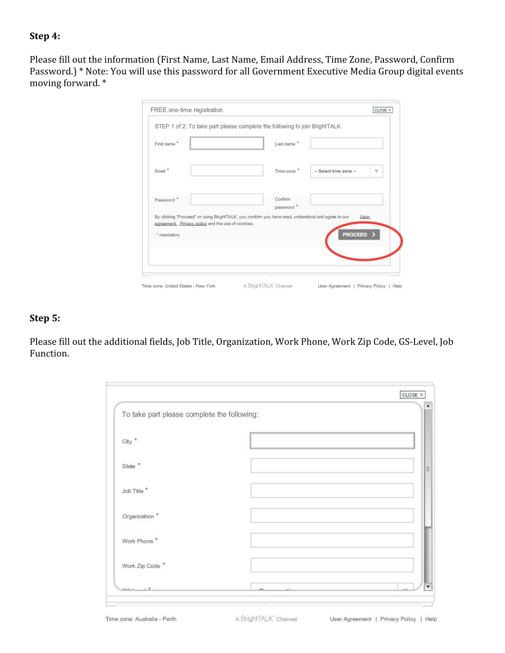## **Step 4:**

Please fill out the information (First Name, Last Name, Email Address, Time Zone, Password, Confirm Password.) \* Note: You will use this password for all Government Executive Media Group digital events moving forward. \*

| First name*                                       | Last name *                                                                                       |                        |                         |
|---------------------------------------------------|---------------------------------------------------------------------------------------------------|------------------------|-------------------------|
| Email <sup>*</sup>                                | Time zone *                                                                                       | -- Select time zone -- | $\overline{\mathbb{V}}$ |
| Password <sup>*</sup>                             | Confirm<br>password <sup>*</sup>                                                                  |                        |                         |
| agreement, Privacy policy and the use of cookies. | By clicking "Proceed" or using BrightTALK, you confirm you have read, understood and agree to our | <b>User</b>            |                         |
| * mandatory                                       |                                                                                                   | <b>PROCEED</b>         |                         |
|                                                   |                                                                                                   |                        |                         |

### **Step 5:**

Please fill out the additional fields, Job Title, Organization, Work Phone, Work Zip Code, GS-Level, Job Function.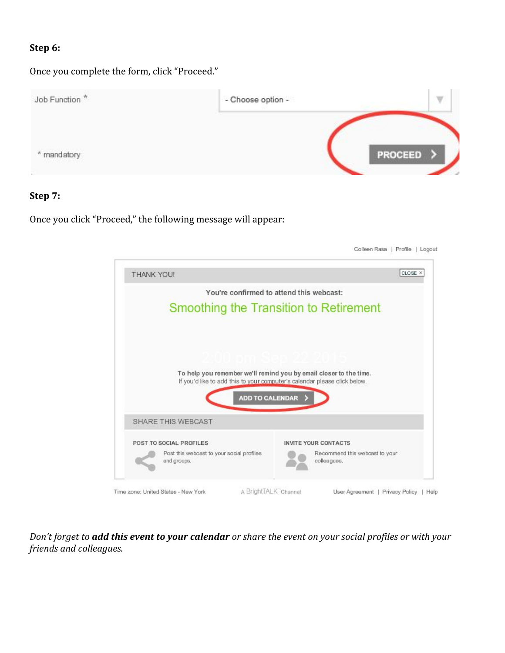## **Step 6:**

Once you complete the form, click "Proceed."



#### **Step 7:**

Once you click "Proceed," the following message will appear:



Don't forget to add this event to your calendar or share the event on your social profiles or with your *friends and colleagues.*